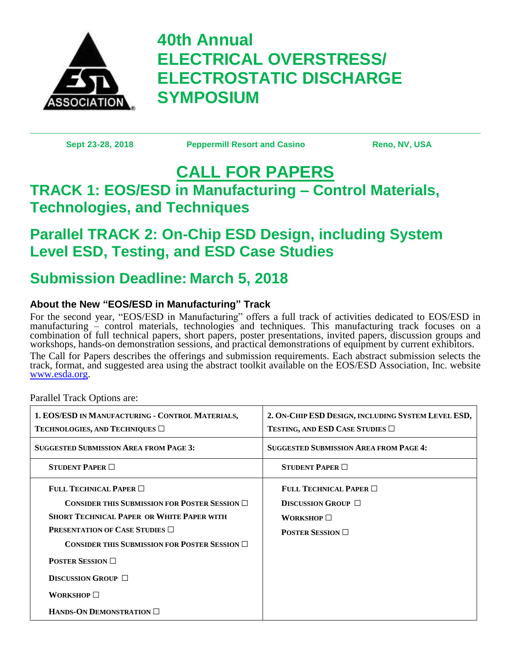

# **40th Annual ELECTRICAL OVERSTRESS/ ELECTROSTATIC DISCHARGE SYMPOSIUM**

**Sept 23-28, 2018 Peppermill Resort and Casino Reno, NV, USA**

## **CALL FOR PAPERS TRACK 1: EOS/ESD in Manufacturing – Control Materials, Technologies, and Techniques**

## **Parallel TRACK 2: On-Chip ESD Design, including System Level ESD, Testing, and ESD Case Studies**

## **Submission Deadline: March 5, 2018**

## **About the New "EOS/ESD in Manufacturing" Track**

For the second year, "EOS/ESD in Manufacturing" offers a full track of activities dedicated to EOS/ESD in manufacturing – control materials, technologies and techniques. This manufacturing track focuses on a combination of full technical papers, short papers, poster presentations, invited papers, discussion groups and workshops, hands-on demonstration sessions, and practical demonstrations of equipment by current exhibitors. The Call for Papers describes the offerings and submission requirements. Each abstract submission selects the track, format, and suggested area using the abstract toolkit available on the EOS/ESD Association, Inc. website [www.esda.org.](http://www.esda.org/)

Parallel Track Options are:

| 1. EOS/ESD IN MANUFACTURING - CONTROL MATERIALS,<br>TECHNOLOGIES, AND TECHNIQUES $\Box$ | 2. ON-CHIP ESD DESIGN, INCLUDING SYSTEM LEVEL ESD,<br>TESTING, AND ESD CASE STUDIES $\Box$ |
|-----------------------------------------------------------------------------------------|--------------------------------------------------------------------------------------------|
| <b>SUGGESTED SUBMISSION AREA FROM PAGE 3:</b>                                           | <b>SUGGESTED SUBMISSION AREA FROM PAGE 4:</b>                                              |
| STUDENT PAPER $\Box$                                                                    | STUDENT PAPER $\Box$                                                                       |
| FULL TECHNICAL PAPER $\Box$                                                             | FULL TECHNICAL PAPER $\Box$                                                                |
| CONSIDER THIS SUBMISSION FOR POSTER SESSION $\Box$                                      | <b>DISCUSSION GROUP</b> $\Box$                                                             |
| <b>SHORT TECHNICAL PAPER OR WHITE PAPER WITH</b>                                        | <b>WORKSHOP</b> $\Box$                                                                     |
| <b>PRESENTATION OF CASE STUDIES</b> $\Box$                                              | <b>POSTER SESSION</b> $\Box$                                                               |
| CONSIDER THIS SUBMISSION FOR POSTER SESSION $\Box$                                      |                                                                                            |
| <b>POSTER SESSION</b> $\Box$                                                            |                                                                                            |
| DISCUSSION GROUP $\Box$                                                                 |                                                                                            |
| <b>WORKSHOP</b> $\Box$                                                                  |                                                                                            |
| HANDS-ON DEMONSTRATION $\Box$                                                           |                                                                                            |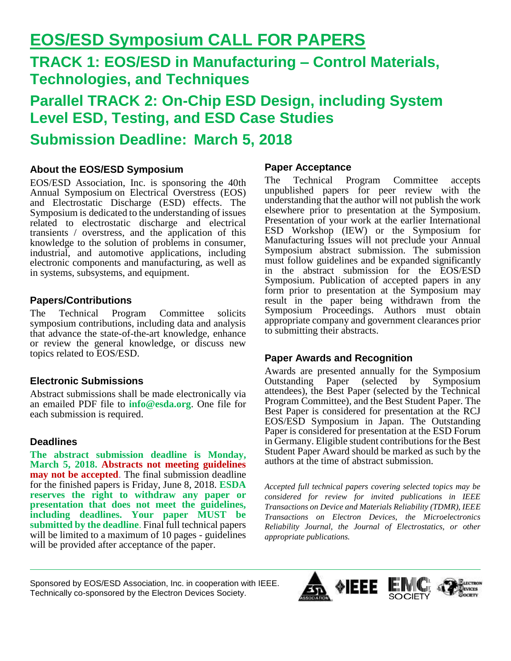## **EOS/ESD Symposium CALL FOR PAPERS**

## **TRACK 1: EOS/ESD in Manufacturing – Control Materials, Technologies, and Techniques**

**Parallel TRACK 2: On-Chip ESD Design, including System Level ESD, Testing, and ESD Case Studies Submission Deadline: March 5, 2018**

## **About the EOS/ESD Symposium**

EOS/ESD Association, Inc. is sponsoring the 40th Annual Symposium on Electrical Overstress (EOS) and Electrostatic Discharge (ESD) effects. The Symposium is dedicated to the understanding of issues related to electrostatic discharge and electrical transients / overstress, and the application of this knowledge to the solution of problems in consumer, industrial, and automotive applications, including electronic components and manufacturing, as well as in systems, subsystems, and equipment.

#### **Papers/Contributions**

The Technical Program Committee solicits symposium contributions, including data and analysis that advance the state-of-the-art knowledge, enhance or review the general knowledge, or discuss new topics related to EOS/ESD.

### **Electronic Submissions**

Abstract submissions shall be made electronically via an emailed PDF file to **info@esda.org**. One file for each submission is required.

#### **Deadlines**

**The abstract submission deadline is Monday, March 5, 2018. Abstracts not meeting guidelines may not be accepted**. The final submission deadline for the finished papers is Friday, June 8, 2018. **ESDA reserves the right to withdraw any paper or presentation that does not meet the guidelines, including deadlines. Your paper MUST be submitted by the deadline**. Final full technical papers will be limited to a maximum of 10 pages - guidelines will be provided after acceptance of the paper.

#### **Paper Acceptance**

The Technical Program Committee accepts unpublished papers for peer review with the understanding that the author will not publish the work elsewhere prior to presentation at the Symposium. Presentation of your work at the earlier International ESD Workshop (IEW) or the Symposium for Manufacturing Issues will not preclude your Annual Symposium abstract submission. The submission must follow guidelines and be expanded significantly in the abstract submission for the EOS/ESD Symposium. Publication of accepted papers in any form prior to presentation at the Symposium may result in the paper being withdrawn from the Symposium Proceedings. Authors must obtain appropriate company and government clearances prior to submitting their abstracts.

### **Paper Awards and Recognition**

Awards are presented annually for the Symposium Outstanding Paper (selected by Symposium attendees), the Best Paper (selected by the Technical Program Committee), and the Best Student Paper. The Best Paper is considered for presentation at the RCJ EOS/ESD Symposium in Japan. The Outstanding Paper is considered for presentation at the ESD Forum in Germany. Eligible student contributions for the Best Student Paper Award should be marked as such by the authors at the time of abstract submission.

*Accepted full technical papers covering selected topics may be considered for review for invited publications in IEEE Transactions on Device and Materials Reliability (TDMR), IEEE Transactions on Electron Devices, the Microelectronics Reliability Journal, the Journal of Electrostatics, or other appropriate publications.* 

Sponsored by EOS/ESD Association, Inc. in cooperation with IEEE. Technically co-sponsored by the Electron Devices Society.

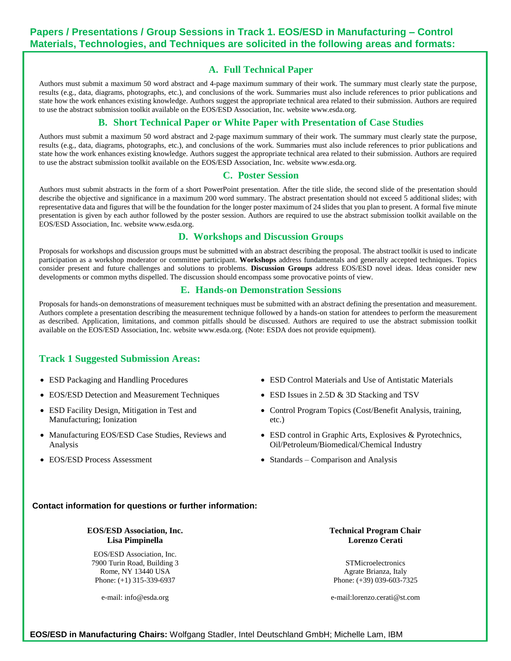#### **A. Full Technical Paper**

Authors must submit a maximum 50 word abstract and 4-page maximum summary of their work. The summary must clearly state the purpose, results (e.g., data, diagrams, photographs, etc.), and conclusions of the work. Summaries must also include references to prior publications and state how the work enhances existing knowledge. Authors suggest the appropriate technical area related to their submission. Authors are required to use the abstract submission toolkit available on the EOS/ESD Association, Inc. website [www.esda.org.](http://www.esda.org/)

## **B. Short Technical Paper or White Paper with Presentation of Case Studies**

Authors must submit a maximum 50 word abstract and 2-page maximum summary of their work. The summary must clearly state the purpose, results (e.g., data, diagrams, photographs, etc.), and conclusions of the work. Summaries must also include references to prior publications and state how the work enhances existing knowledge. Authors suggest the appropriate technical area related to their submission. Authors are required to use the abstract submission toolkit available on the EOS/ESD Association, Inc. website [www.esda.org.](http://www.esda.org/)

#### **C. Poster Session**

Authors must submit abstracts in the form of a short PowerPoint presentation. After the title slide, the second slide of the presentation should describe the objective and significance in a maximum 200 word summary. The abstract presentation should not exceed 5 additional slides; with representative data and figures that will be the foundation for the longer poster maximum of 24 slides that you plan to present. A formal five minute presentation is given by each author followed by the poster session. Authors are required to use the abstract submission toolkit available on the EOS/ESD Association, Inc. websit[e www.esda.org.](http://www.esda.org/)

#### **D. Workshops and Discussion Groups**

Proposals for workshops and discussion groups must be submitted with an abstract describing the proposal. The abstract toolkit is used to indicate participation as a workshop moderator or committee participant. **Workshops** address fundamentals and generally accepted techniques. Topics consider present and future challenges and solutions to problems. **Discussion Groups** address EOS/ESD novel ideas. Ideas consider new developments or common myths dispelled. The discussion should encompass some provocative points of view.

#### **E. Hands-on Demonstration Sessions**

Proposals for hands-on demonstrations of measurement techniques must be submitted with an abstract defining the presentation and measurement. Authors complete a presentation describing the measurement technique followed by a hands-on station for attendees to perform the measurement as described. Application, limitations, and common pitfalls should be discussed. Authors are required to use the abstract submission toolkit available on the EOS/ESD Association, Inc. websit[e www.esda.org.](http://www.esda.org/) (Note: ESDA does not provide equipment).

#### **Track 1 Suggested Submission Areas:**

- ESD Packaging and Handling Procedures
- EOS/ESD Detection and Measurement Techniques
- ESD Facility Design, Mitigation in Test and Manufacturing; Ionization
- Manufacturing EOS/ESD Case Studies, Reviews and Analysis
- EOS/ESD Process Assessment
- ESD Control Materials and Use of Antistatic Materials
- ESD Issues in 2.5D & 3D Stacking and TSV
- Control Program Topics (Cost/Benefit Analysis, training, etc.)
- ESD control in Graphic Arts, Explosives & Pyrotechnics, Oil/Petroleum/Biomedical/Chemical Industry
- Standards Comparison and Analysis

#### **Contact information for questions or further information:**

#### **EOS/ESD Association, Inc. Lisa Pimpinella**

EOS/ESD Association, Inc. 7900 Turin Road, Building 3 Rome, NY 13440 USA Phone: (+1) 315-339-6937

**Technical Program Chair Lorenzo Cerati**

**STMicroelectronics** Agrate Brianza, Italy Phone: (+39) 039-603-7325

e-mail: info@esda.org

e-mail:lorenzo.cerati@st.com

**EOS/ESD in Manufacturing Chairs:** Wolfgang Stadler, Intel Deutschland GmbH; Michelle Lam, IBM